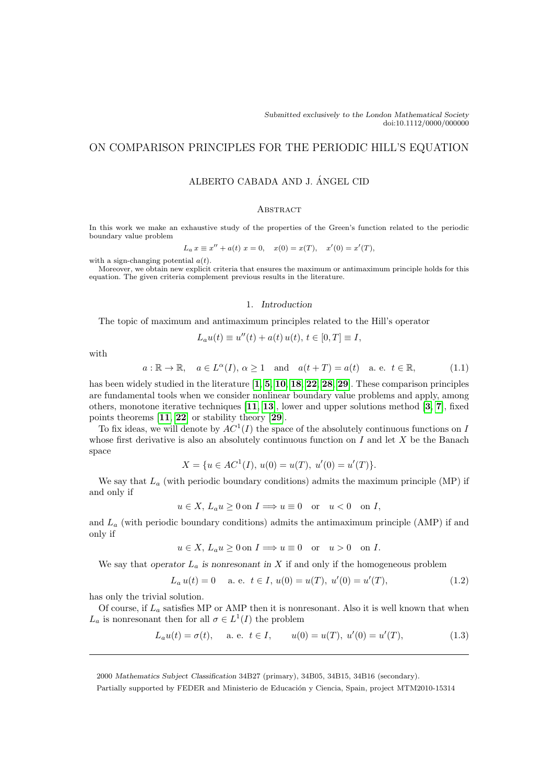# ON COMPARISON PRINCIPLES FOR THE PERIODIC HILL'S EQUATION

## ALBERTO CABADA AND J. ANGEL CID ´

## **ABSTRACT**

In this work we make an exhaustive study of the properties of the Green's function related to the periodic boundary value problem

$$
L_a x \equiv x'' + a(t) x = 0, \quad x(0) = x(T), \quad x'(0) = x'(T),
$$

with a sign-changing potential  $a(t)$ .

Moreover, we obtain new explicit criteria that ensures the maximum or antimaximum principle holds for this equation. The given criteria complement previous results in the literature.

## 1. Introduction

The topic of maximum and antimaximum principles related to the Hill's operator

$$
L_a u(t) \equiv u''(t) + a(t) u(t), \, t \in [0, T] \equiv I,
$$

with

<span id="page-0-0"></span>
$$
a: \mathbb{R} \to \mathbb{R}, \quad a \in L^{\alpha}(I), \alpha \ge 1 \quad \text{and} \quad a(t+T) = a(t) \quad \text{a. e. } t \in \mathbb{R},
$$
 (1.1)

has been widely studied in the literature [[1](#page-16-0), [5](#page-16-1), [10](#page-16-2), [18](#page-17-0), [22](#page-17-1), [28](#page-17-2), [29](#page-17-3)]. These comparison principles are fundamental tools when we consider nonlinear boundary value problems and apply, among others, monotone iterative techniques [[11](#page-16-3), [13](#page-16-4)], lower and upper solutions method [[3](#page-16-5), [7](#page-16-6)], fixed points theorems [[11](#page-16-3), [22](#page-17-1)] or stability theory [[29](#page-17-3)].

To fix ideas, we will denote by  $AC^1(I)$  the space of the absolutely continuous functions on I whose first derivative is also an absolutely continuous function on  $I$  and let  $X$  be the Banach space

$$
X = \{ u \in AC^1(I), u(0) = u(T), u'(0) = u'(T) \}.
$$

We say that  $L_a$  (with periodic boundary conditions) admits the maximum principle (MP) if and only if

$$
u \in X
$$
,  $L_a u \ge 0$  on  $I \Longrightarrow u \equiv 0$  or  $u < 0$  on  $I$ ,

and  $L_a$  (with periodic boundary conditions) admits the antimaximum principle (AMP) if and only if

$$
u \in X
$$
,  $L_a u \ge 0$  on  $I \Longrightarrow u \equiv 0$  or  $u > 0$  on I.

We say that operator  $L_a$  is nonresonant in X if and only if the homogeneous problem

<span id="page-0-2"></span>
$$
L_a u(t) = 0 \quad \text{a. e. } t \in I, u(0) = u(T), u'(0) = u'(T), \tag{1.2}
$$

has only the trivial solution.

Of course, if  $L_a$  satisfies MP or AMP then it is nonresonant. Also it is well known that when  $L_a$  is nonresonant then for all  $\sigma \in L^1(I)$  the problem

<span id="page-0-1"></span>
$$
L_a u(t) = \sigma(t)
$$
, a. e.  $t \in I$ ,  $u(0) = u(T)$ ,  $u'(0) = u'(T)$ ,  $(1.3)$ 

2000 Mathematics Subject Classification 34B27 (primary), 34B05, 34B15, 34B16 (secondary).

Partially supported by FEDER and Ministerio de Educación y Ciencia, Spain, project MTM2010-15314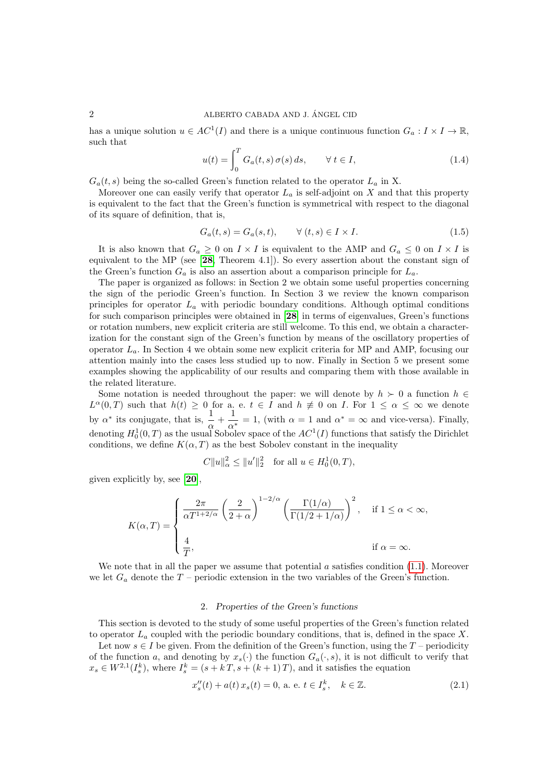## 2 ALBERTO CABADA AND J. ANGEL CID ´

has a unique solution  $u \in AC^1(I)$  and there is a unique continuous function  $G_a: I \times I \to \mathbb{R}$ , such that

<span id="page-1-2"></span>
$$
u(t) = \int_0^T G_a(t, s) \sigma(s) ds, \qquad \forall \ t \in I,
$$
\n(1.4)

 $G_a(t, s)$  being the so-called Green's function related to the operator  $L_a$  in X.

Moreover one can easily verify that operator  $L_a$  is self-adjoint on X and that this property is equivalent to the fact that the Green's function is symmetrical with respect to the diagonal of its square of definition, that is,

<span id="page-1-0"></span>
$$
G_a(t,s) = G_a(s,t), \qquad \forall (t,s) \in I \times I.
$$
\n
$$
(1.5)
$$

It is also known that  $G_a \geq 0$  on  $I \times I$  is equivalent to the AMP and  $G_a \leq 0$  on  $I \times I$  is equivalent to the MP (see  $[28,$  $[28,$  $[28,$  Theorem 4.1]). So every assertion about the constant sign of the Green's function  $G_a$  is also an assertion about a comparison principle for  $L_a$ .

The paper is organized as follows: in Section 2 we obtain some useful properties concerning the sign of the periodic Green's function. In Section 3 we review the known comparison principles for operator  $L_a$  with periodic boundary conditions. Although optimal conditions for such comparison principles were obtained in [[28](#page-17-2)] in terms of eigenvalues, Green's functions or rotation numbers, new explicit criteria are still welcome. To this end, we obtain a characterization for the constant sign of the Green's function by means of the oscillatory properties of operator  $L_a$ . In Section 4 we obtain some new explicit criteria for MP and AMP, focusing our attention mainly into the cases less studied up to now. Finally in Section 5 we present some examples showing the applicability of our results and comparing them with those available in the related literature.

Some notation is needed throughout the paper: we will denote by  $h \succ 0$  a function  $h \in$  $L^{\alpha}(0,T)$  such that  $h(t) \geq 0$  for a. e.  $t \in I$  and  $h \not\equiv 0$  on I. For  $1 \leq \alpha \leq \infty$  we denote by  $\alpha^*$  its conjugate, that is,  $\frac{1}{\alpha} + \frac{1}{\alpha}$  $\frac{1}{\alpha^*} = 1$ , (with  $\alpha = 1$  and  $\alpha^* = \infty$  and vice-versa). Finally, denoting  $H_0^1(0,T)$  as the usual Sobolev space of the  $AC^1(I)$  functions that satisfy the Dirichlet conditions, we define  $K(\alpha, T)$  as the best Sobolev constant in the inequality

$$
C||u||_{\alpha}^{2} \le ||u'||_{2}^{2} \text{ for all } u \in H_{0}^{1}(0,T),
$$

given explicitly by, see [[20](#page-17-4)],

$$
K(\alpha, T) = \begin{cases} \frac{2\pi}{\alpha T^{1+2/\alpha}} \left(\frac{2}{2+\alpha}\right)^{1-2/\alpha} \left(\frac{\Gamma(1/\alpha)}{\Gamma(1/2+1/\alpha)}\right)^2, & \text{if } 1 \le \alpha < \infty, \\ \frac{4}{T}, & \text{if } \alpha = \infty. \end{cases}
$$

We note that in all the paper we assume that potential  $a$  satisfies condition  $(1.1)$ . Moreover we let  $G_a$  denote the  $T$  – periodic extension in the two variables of the Green's function.

## 2. Properties of the Green's functions

This section is devoted to the study of some useful properties of the Green's function related to operator  $L_a$  coupled with the periodic boundary conditions, that is, defined in the space X.

<span id="page-1-3"></span>Let now  $s \in I$  be given. From the definition of the Green's function, using the  $T$  – periodicity of the function a, and denoting by  $x_s(\cdot)$  the function  $G_a(\cdot, s)$ , it is not difficult to verify that  $x_s \in W^{2,1}(I_s^k)$ , where  $I_s^k = (s + kT, s + (k+1)T)$ , and it satisfies the equation

<span id="page-1-1"></span>
$$
x_s''(t) + a(t) x_s(t) = 0, \text{ a. e. } t \in I_s^k, \quad k \in \mathbb{Z}.
$$
 (2.1)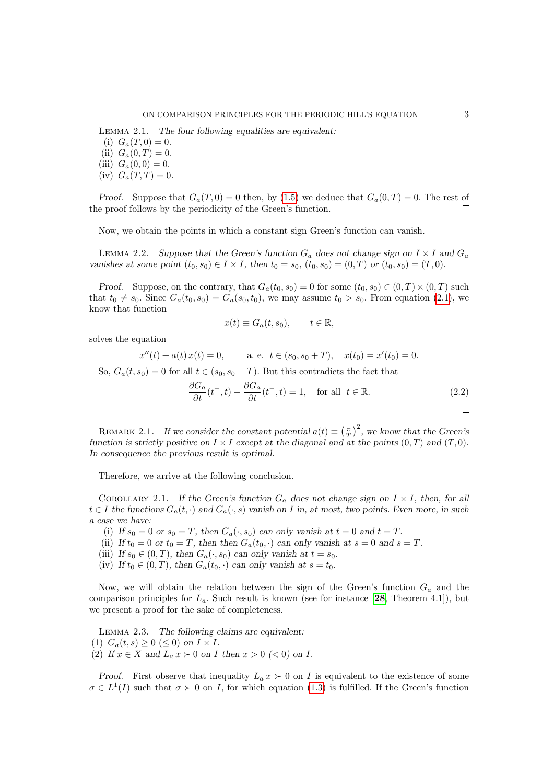Lemma 2.1. The four following equalities are equivalent: (i)  $G_a(T,0) = 0$ .

(ii)  $G_a(0,T) = 0$ . (iii)  $G_a(0,0) = 0$ .

$$
(iv) G_a(T,T) = 0.
$$

Proof. Suppose that  $G_a(T, 0) = 0$  then, by [\(1.5\)](#page-1-0) we deduce that  $G_a(0, T) = 0$ . The rest of the proof follows by the periodicity of the Green's function.  $\Box$ 

Now, we obtain the points in which a constant sign Green's function can vanish.

LEMMA 2.2. Suppose that the Green's function  $G_a$  does not change sign on  $I \times I$  and  $G_a$ vanishes at some point  $(t_0, s_0) \in I \times I$ , then  $t_0 = s_0$ ,  $(t_0, s_0) = (0, T)$  or  $(t_0, s_0) = (T, 0)$ .

Proof. Suppose, on the contrary, that  $G_a(t_0, s_0) = 0$  for some  $(t_0, s_0) \in (0, T) \times (0, T)$  such that  $t_0 \neq s_0$ . Since  $G_a(t_0, s_0) = G_a(s_0, t_0)$ , we may assume  $t_0 > s_0$ . From equation [\(2.1\)](#page-1-1), we know that function

<span id="page-2-1"></span>
$$
x(t) \equiv G_a(t, s_0), \qquad t \in \mathbb{R},
$$

solves the equation

$$
x''(t) + a(t) x(t) = 0
$$
, a. e.  $t \in (s_0, s_0 + T)$ ,  $x(t_0) = x'(t_0) = 0$ .

So,  $G_a(t, s_0) = 0$  for all  $t \in (s_0, s_0 + T)$ . But this contradicts the fact that

<span id="page-2-2"></span><span id="page-2-0"></span>
$$
\frac{\partial G_a}{\partial t}(t^+,t) - \frac{\partial G_a}{\partial t}(t^-,t) = 1, \text{ for all } t \in \mathbb{R}.
$$
\n(2.2)

REMARK 2.1. If we consider the constant potential  $a(t) \equiv \left(\frac{\pi}{T}\right)^2$ , we know that the Green's function is strictly positive on  $I \times I$  except at the diagonal and at the points  $(0, T)$  and  $(T, 0)$ . In consequence the previous result is optimal.

Therefore, we arrive at the following conclusion.

COROLLARY 2.1. If the Green's function  $G_a$  does not change sign on  $I \times I$ , then, for all  $t \in I$  the functions  $G_a(t, \cdot)$  and  $G_a(\cdot, s)$  vanish on I in, at most, two points. Even more, in such a case we have:

- (i) If  $s_0 = 0$  or  $s_0 = T$ , then  $G_a(\cdot, s_0)$  can only vanish at  $t = 0$  and  $t = T$ .
- (ii) If  $t_0 = 0$  or  $t_0 = T$ , then then  $G_a(t_0, \cdot)$  can only vanish at  $s = 0$  and  $s = T$ .
- (iii) If  $s_0 \in (0,T)$ , then  $G_a(\cdot, s_0)$  can only vanish at  $t = s_0$ .
- <span id="page-2-3"></span>(iv) If  $t_0 \in (0,T)$ , then  $G_a(t_0, \cdot)$  can only vanish at  $s = t_0$ .

Now, we will obtain the relation between the sign of the Green's function  $G_a$  and the comparison principles for  $L_a$ . Such result is known (see for instance [[28](#page-17-2), Theorem 4.1]), but we present a proof for the sake of completeness.

Lemma 2.3. The following claims are equivalent: (1)  $G_a(t,s) \geq 0 \leq 0$  on  $I \times I$ . (2) If  $x \in X$  and  $L_a x \succ 0$  on I then  $x > 0$  (< 0) on I.

Proof. First observe that inequality  $L_a x \succ 0$  on I is equivalent to the existence of some  $\sigma \in L^1(I)$  such that  $\sigma > 0$  on I, for which equation [\(1.3\)](#page-0-1) is fulfilled. If the Green's function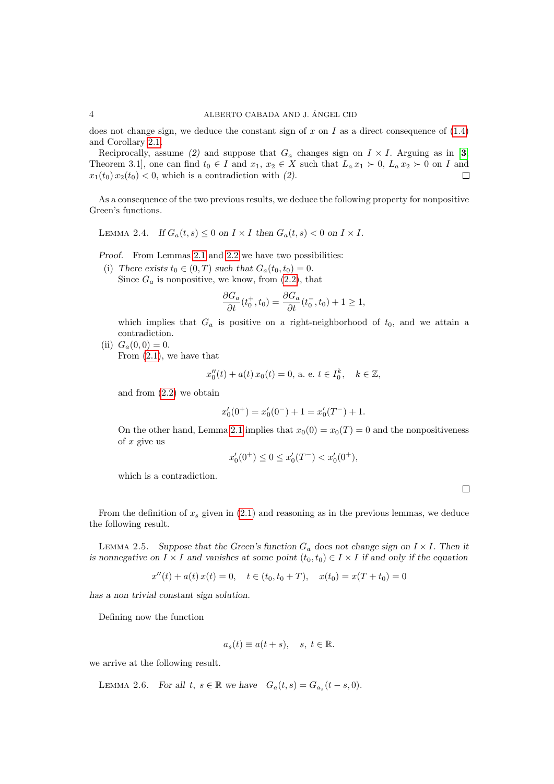does not change sign, we deduce the constant sign of x on I as a direct consequence of  $(1.4)$ and Corollary [2.1.](#page-2-0)

Reciprocally, assume (2) and suppose that  $G_a$  changes sign on  $I \times I$ . Arguing as in [[3](#page-16-5), Theorem 3.1], one can find  $t_0 \in I$  and  $x_1, x_2 \in X$  such that  $L_a x_1 \succ 0$ ,  $L_a x_2 \succ 0$  on I and  $x_1(t_0) x_2(t_0) < 0$ , which is a contradiction with (2).  $\Box$ 

As a consequence of the two previous results, we deduce the following property for nonpositive Green's functions.

LEMMA 2.4. If  $G_a(t,s) \leq 0$  on  $I \times I$  then  $G_a(t,s) < 0$  on  $I \times I$ .

Proof. From Lemmas [2.1](#page-1-3) and [2.2](#page-2-1) we have two possibilities:

(i) There exists  $t_0 \in (0,T)$  such that  $G_a(t_0,t_0) = 0$ . Since  $G_a$  is nonpositive, we know, from  $(2.2)$ , that

$$
\frac{\partial G_a}{\partial t}(t_0^+, t_0) = \frac{\partial G_a}{\partial t}(t_0^-, t_0) + 1 \ge 1,
$$

which implies that  $G_a$  is positive on a right-neighborhood of  $t_0$ , and we attain a contradiction.

(ii)  $G_a(0,0) = 0$ . From [\(2.1\)](#page-1-1), we have that

$$
x_0''(t) + a(t) x_0(t) = 0
$$
, a. e.  $t \in I_0^k$ ,  $k \in \mathbb{Z}$ ,

and from [\(2.2\)](#page-2-2) we obtain

$$
x_0'(0^+) = x_0'(0^-) + 1 = x_0'(T^-) + 1.
$$

On the other hand, Lemma [2.1](#page-1-3) implies that  $x_0(0) = x_0(T) = 0$  and the nonpositiveness of  $x$  give us

$$
x'_0(0^+) \le 0 \le x'_0(T^-) < x'_0(0^+),
$$

which is a contradiction.

 $\Box$ 

From the definition of  $x_s$  given in [\(2.1\)](#page-1-1) and reasoning as in the previous lemmas, we deduce the following result.

LEMMA 2.5. Suppose that the Green's function  $G_a$  does not change sign on  $I \times I$ . Then it is nonnegative on  $I \times I$  and vanishes at some point  $(t_0, t_0) \in I \times I$  if and only if the equation

<span id="page-3-1"></span>
$$
x''(t) + a(t) x(t) = 0, \quad t \in (t_0, t_0 + T), \quad x(t_0) = x(T + t_0) = 0
$$

has a non trivial constant sign solution.

Defining now the function

<span id="page-3-0"></span>
$$
a_s(t) \equiv a(t+s), \quad s, \ t \in \mathbb{R}.
$$

we arrive at the following result.

LEMMA 2.6. For all  $t, s \in \mathbb{R}$  we have  $G_a(t, s) = G_{a_s}(t - s, 0)$ .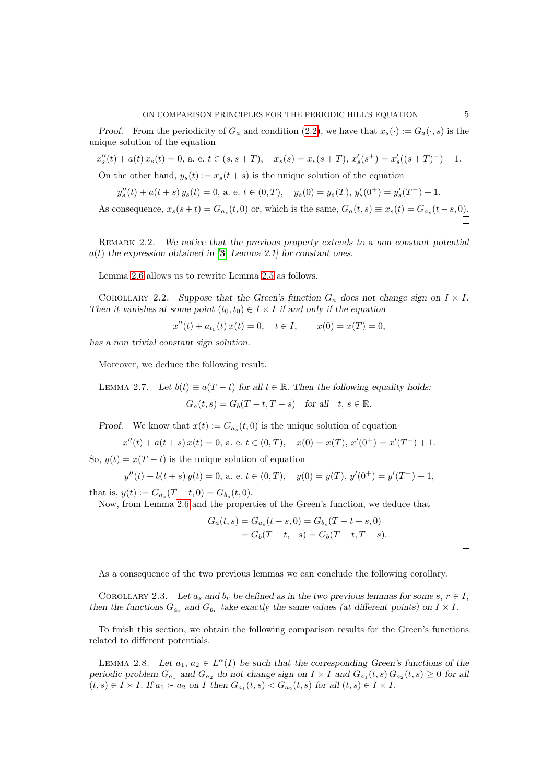Proof. From the periodicity of  $G_a$  and condition [\(2.2\)](#page-2-2), we have that  $x_s(\cdot) := G_a(\cdot, s)$  is the unique solution of the equation

$$
x_s''(t) + a(t) x_s(t) = 0, \text{ a. e. } t \in (s, s + T), \quad x_s(s) = x_s(s + T), \ x_s'(s^+) = x_s'((s + T)^-) + 1.
$$

On the other hand,  $y_s(t) := x_s(t+s)$  is the unique solution of the equation

$$
y_s''(t) + a(t+s)\,y_s(t) = 0, \, \text{a. e. } t \in (0,T), \quad y_s(0) = y_s(T), \, y_s'(0^+) = y_s'(T^-) + 1.
$$

As consequence,  $x_s(s+t) = G_{a_s}(t,0)$  or, which is the same,  $G_a(t,s) \equiv x_s(t) = G_{a_s}(t-s,0)$ .

REMARK 2.2. We notice that the previous property extends to a non constant potential  $a(t)$  the expression obtained in [[3](#page-16-5), Lemma 2.1] for constant ones.

Lemma [2.6](#page-3-0) allows us to rewrite Lemma [2.5](#page-3-1) as follows.

COROLLARY 2.2. Suppose that the Green's function  $G_a$  does not change sign on  $I \times I$ . Then it vanishes at some point  $(t_0, t_0) \in I \times I$  if and only if the equation

<span id="page-4-1"></span>
$$
x''(t) + a_{t_0}(t) x(t) = 0, \quad t \in I, \qquad x(0) = x(T) = 0,
$$

has a non trivial constant sign solution.

Moreover, we deduce the following result.

LEMMA 2.7. Let  $b(t) \equiv a(T - t)$  for all  $t \in \mathbb{R}$ . Then the following equality holds:  $G_a(t,s) = G_b(T-t, T-s)$  for all  $t, s \in \mathbb{R}$ .

Proof. We know that  $x(t) := G_{a_s}(t,0)$  is the unique solution of equation

$$
x''(t) + a(t+s)x(t) = 0, \text{ a. e. } t \in (0,T), \quad x(0) = x(T), x'(0^+) = x'(T^-) + 1.
$$

So,  $y(t) = x(T - t)$  is the unique solution of equation

$$
y''(t) + b(t + s) y(t) = 0
$$
, a. e.  $t \in (0, T)$ ,  $y(0) = y(T)$ ,  $y'(0^+) = y'(T^-) + 1$ ,

that is,  $y(t) := G_{a_s}(T - t, 0) = G_{b_s}(t, 0)$ .

Now, from Lemma [2.6](#page-3-0) and the properties of the Green's function, we deduce that

<span id="page-4-0"></span>
$$
G_a(t,s) = G_{a_s}(t-s,0) = G_{b_s}(T-t+s,0)
$$
  
=  $G_b(T-t,-s) = G_b(T-t,T-s)$ .

 $\Box$ 

As a consequence of the two previous lemmas we can conclude the following corollary.

COROLLARY 2.3. Let  $a_s$  and  $b_r$  be defined as in the two previous lemmas for some  $s, r \in I$ , then the functions  $G_{a_s}$  and  $G_{b_r}$  take exactly the same values (at different points) on  $I \times I$ .

To finish this section, we obtain the following comparison results for the Green's functions related to different potentials.

LEMMA 2.8. Let  $a_1, a_2 \in L^{\alpha}(I)$  be such that the corresponding Green's functions of the periodic problem  $G_{a_1}$  and  $G_{a_2}$  do not change sign on  $I \times I$  and  $G_{a_1}(t, s) G_{a_2}(t, s) \geq 0$  for all  $(t, s) \in I \times I$ . If  $a_1 \succ a_2$  on I then  $G_{a_1}(t, s) < G_{a_2}(t, s)$  for all  $(t, s) \in I \times I$ .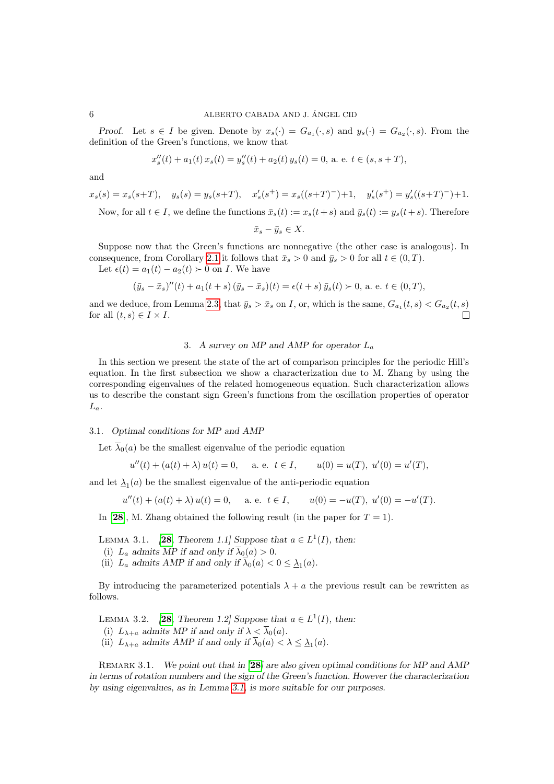#### 6 ALBERTO CABADA AND J. ANGEL CID ´

Proof. Let  $s \in I$  be given. Denote by  $x_s(\cdot) = G_{a_1}(\cdot, s)$  and  $y_s(\cdot) = G_{a_2}(\cdot, s)$ . From the definition of the Green's functions, we know that

$$
x_s''(t) + a_1(t)\,x_s(t) = y_s''(t) + a_2(t)\,y_s(t) = 0, \,\text{a. e. } t\in(s,s+T),
$$

and

$$
x_s(s) = x_s(s+T), \quad y_s(s) = y_s(s+T), \quad x'_s(s^+) = x_s((s+T)^-) + 1, \quad y'_s(s^+) = y'_s((s+T)^-) + 1.
$$
  
Now, for all  $t \in I$ , we define the functions  $\bar{x}_s(t) := x_s(t+s)$  and  $\bar{y}_s(t) := y_s(t+s)$ . Therefore

$$
\bar{x}_s - \bar{y}_s \in X.
$$

Suppose now that the Green's functions are nonnegative (the other case is analogous). In consequence, from Corollary [2.1](#page-2-0) it follows that  $\bar{x}_s > 0$  and  $\bar{y}_s > 0$  for all  $t \in (0, T)$ .

Let  $\epsilon(t) = a_1(t) - a_2(t) > 0$  on *I*. We have

$$
(\bar{y}_s - \bar{x}_s)''(t) + a_1(t+s)(\bar{y}_s - \bar{x}_s)(t) = \epsilon(t+s)\bar{y}_s(t) > 0, \text{ a. e. } t \in (0,T),
$$

and we deduce, from Lemma [2.3,](#page-2-3) that  $\bar{y}_s > \bar{x}_s$  on I, or, which is the same,  $G_{a_1}(t, s) < G_{a_2}(t, s)$  $\Box$ for all  $(t, s) \in I \times I$ .

## <span id="page-5-0"></span>3. A survey on MP and AMP for operator  $L_a$

In this section we present the state of the art of comparison principles for the periodic Hill's equation. In the first subsection we show a characterization due to M. Zhang by using the corresponding eigenvalues of the related homogeneous equation. Such characterization allows us to describe the constant sign Green's functions from the oscillation properties of operator  $L_a$ .

#### 3.1. Optimal conditions for MP and AMP

Let  $\overline{\lambda}_0(a)$  be the smallest eigenvalue of the periodic equation

$$
u''(t) + (a(t) + \lambda) u(t) = 0
$$
, a. e.  $t \in I$ ,  $u(0) = u(T)$ ,  $u'(0) = u'(T)$ ,

and let  $\mathcal{L}_1(a)$  be the smallest eigenvalue of the anti-periodic equation

$$
u''(t) + (a(t) + \lambda) u(t) = 0, \quad \text{a. e. } t \in I, \qquad u(0) = -u(T), \ u'(0) = -u'(T).
$$

In [[28](#page-17-2)], M. Zhang obtained the following result (in the paper for  $T = 1$ ).

- LEMMA 3.1. **[[28](#page-17-2),** Theorem 1.1] Suppose that  $a \in L^1(I)$ , then:
- (i)  $L_a$  admits MP if and only if  $\overline{\lambda}_0(a) > 0$ .
- (ii)  $L_a$  admits AMP if and only if  $\lambda_0(a) < 0 \leq \underline{\lambda}_1(a)$ .

<span id="page-5-1"></span>By introducing the parameterized potentials  $\lambda + a$  the previous result can be rewritten as follows.

- LEMMA 3.2. [[28](#page-17-2), Theorem 1.2] Suppose that  $a \in L^1(I)$ , then:
- (i)  $L_{\lambda+a}$  admits MP if and only if  $\lambda < \overline{\lambda}_0(a)$ .
- (ii)  $L_{\lambda+a}$  admits AMP if and only if  $\lambda_0(a) < \lambda \leq \underline{\lambda}_1(a)$ .

REMARK 3.1. We point out that in  $[28]$  $[28]$  $[28]$  are also given optimal conditions for MP and AMP in terms of rotation numbers and the sign of the Green's function. However the characterization by using eigenvalues, as in Lemma [3.1,](#page-5-0) is more suitable for our purposes.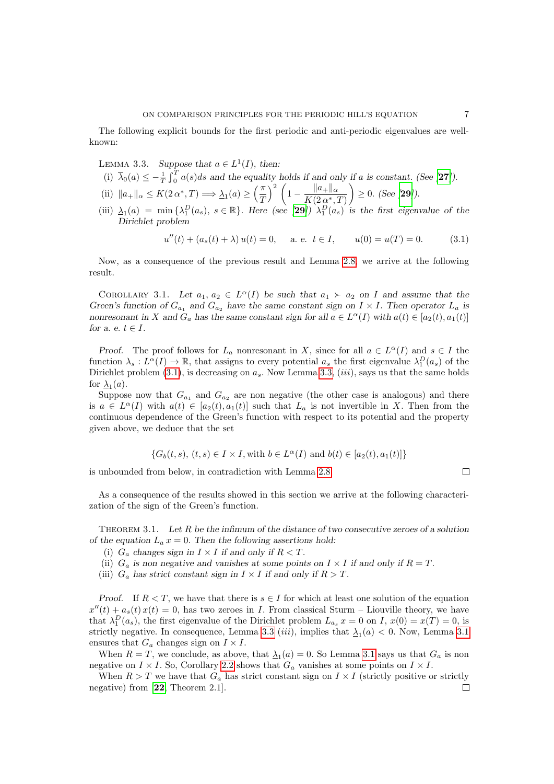The following explicit bounds for the first periodic and anti-periodic eigenvalues are wellknown:

<span id="page-6-1"></span>LEMMA 3.3. Suppose that  $a \in L^1(I)$ , then:

- (i)  $\overline{\lambda}_0(a) \leq -\frac{1}{T} \int_0^T a(s)ds$  and the equality holds if and only if a is constant. (See [[27](#page-17-5)]).
- (ii)  $||a_+||_{\alpha} \le K(2 \alpha^*, T) \Longrightarrow \underline{\lambda}_1(a) \ge \left(\frac{\pi}{7}\right)$ T  $\int_{a}^{2} \left(1 - \frac{\|a_{+}\|_{\alpha}}{K(0,1)}\right)$  $K(2\alpha^*,T)$  $\Big) \geq 0.$  (See [[29](#page-17-3)]).
- (iii)  $\Delta_1(a) = \min \{\lambda_1^D(a_s), s \in \mathbb{R}\}\.$  Here (see [[29](#page-17-3)])  $\lambda_1^D(a_s)$  is the first eigenvalue of the Dirichlet problem

<span id="page-6-0"></span>
$$
u''(t) + (a_s(t) + \lambda) u(t) = 0, \quad a. e. \ t \in I, \qquad u(0) = u(T) = 0. \tag{3.1}
$$

<span id="page-6-2"></span>Now, as a consequence of the previous result and Lemma [2.8,](#page-4-0) we arrive at the following result.

COROLLARY 3.1. Let  $a_1, a_2 \in L^{\alpha}(I)$  be such that  $a_1 \succ a_2$  on I and assume that the Green's function of  $G_{a_1}$  and  $G_{a_2}$  have the same constant sign on  $I \times I$ . Then operator  $L_a$  is nonresonant in X and  $G_a$  has the same constant sign for all  $a \in L^{\alpha}(I)$  with  $a(t) \in [a_2(t), a_1(t)]$ for a. e.  $t \in I$ .

Proof. The proof follows for  $L_a$  nonresonant in X, since for all  $a \in L^{\alpha}(I)$  and  $s \in I$  the function  $\lambda_s: L^{\alpha}(I) \to \mathbb{R}$ , that assigns to every potential  $a_s$  the first eigenvalue  $\lambda_1^D(a_s)$  of the Dirichlet problem [\(3.1\)](#page-6-0), is decreasing on  $a<sub>s</sub>$ . Now Lemma [3.3,](#page-6-1) (*iii*), says us that the same holds for  $\mathfrak{L}_1(a)$ .

Suppose now that  $G_{a_1}$  and  $G_{a_2}$  are non negative (the other case is analogous) and there is  $a \in L^{\alpha}(I)$  with  $a(t) \in [a_2(t), a_1(t)]$  such that  $L_a$  is not invertible in X. Then from the continuous dependence of the Green's function with respect to its potential and the property given above, we deduce that the set

$$
\{G_b(t,s), (t,s) \in I \times I, \text{with } b \in L^{\alpha}(I) \text{ and } b(t) \in [a_2(t), a_1(t)]\}
$$

is unbounded from below, in contradiction with Lemma [2.8.](#page-4-0)

As a consequence of the results showed in this section we arrive at the following characterization of the sign of the Green's function.

THEOREM 3.1. Let  $R$  be the infimum of the distance of two consecutive zeroes of a solution of the equation  $L_a x = 0$ . Then the following assertions hold:

- (i)  $G_a$  changes sign in  $I \times I$  if and only if  $R < T$ .
- (ii)  $G_a$  is non negative and vanishes at some points on  $I \times I$  if and only if  $R = T$ .
- (iii)  $G_a$  has strict constant sign in  $I \times I$  if and only if  $R > T$ .

Proof. If  $R < T$ , we have that there is  $s \in I$  for which at least one solution of the equation  $x''(t) + a_s(t)x(t) = 0$ , has two zeroes in I. From classical Sturm – Liouville theory, we have that  $\lambda_1^D(a_s)$ , the first eigenvalue of the Dirichlet problem  $L_{a_s} x = 0$  on I,  $x(0) = x(T) = 0$ , is strictly negative. In consequence, Lemma [3.3](#page-6-1) (*iii*), implies that  $\lambda_1(a) < 0$ . Now, Lemma [3.1](#page-5-0) ensures that  $G_a$  changes sign on  $I \times I$ .

When  $R = T$ , we conclude, as above, that  $\Delta_1(a) = 0$ . So Lemma [3.1](#page-5-0) says us that  $G_a$  is non negative on  $I \times I$ . So, Corollary [2.2](#page-4-1) shows that  $G_a$  vanishes at some points on  $I \times I$ .

When  $R > T$  we have that  $G_a$  has strict constant sign on  $I \times I$  (strictly positive or strictly negative) from [[22](#page-17-1), Theorem 2.1]. $\Box$ 

 $\Box$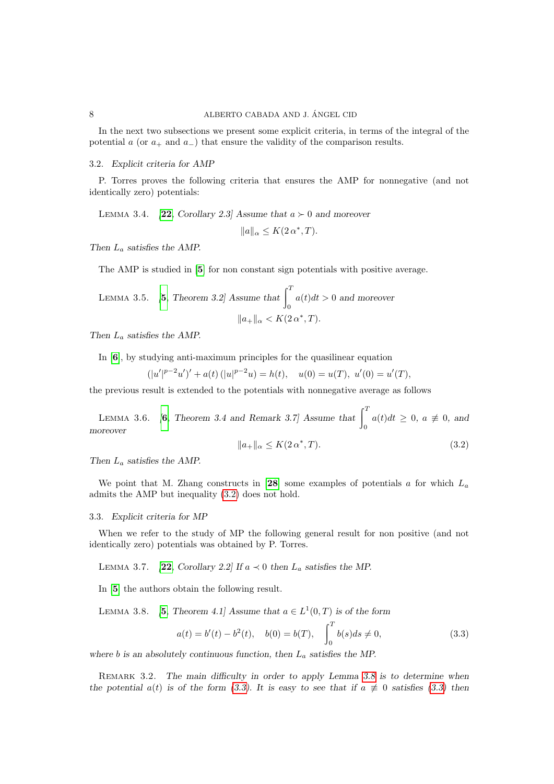In the next two subsections we present some explicit criteria, in terms of the integral of the potential a (or  $a_+$  and  $a_-$ ) that ensure the validity of the comparison results.

## 3.2. Explicit criteria for AMP

P. Torres proves the following criteria that ensures the AMP for nonnegative (and not identically zero) potentials:

<span id="page-7-5"></span>LEMMA 3.4. [[22](#page-17-1), Corollary 2.3] Assume that  $a > 0$  and moreover

$$
||a||_{\alpha} \leq K(2\,\alpha^*, T).
$$

Then  $L_a$  satisfies the AMP.

The AMP is studied in [[5](#page-16-1)] for non constant sign potentials with positive average.

LEMMA 3.5. [5, Theorem 3.2] Assume that 
$$
\int_0^T a(t)dt > 0
$$
 and moreover  
 $||a_+||_{\alpha} < K(2 \alpha^*, T)$ .

Then  $L_a$  satisfies the AMP.

In [[6](#page-16-7)], by studying anti-maximum principles for the quasilinear equation

 $(|u'|^{p-2}u')' + a(t) (|u|^{p-2}u) = h(t), \quad u(0) = u(T), \ u'(0) = u'(T),$ 

<span id="page-7-3"></span>the previous result is extended to the potentials with nonnegative average as follows

LEMMA 3.[6](#page-16-7).  $\begin{bmatrix} 6, \text{ Theorem 3.4 and Remark 3.7} \end{bmatrix}$  Assume that  $\begin{bmatrix} 7 \end{bmatrix}$ 0  $a(t)dt \geq 0, a \not\equiv 0, and$ moreover

<span id="page-7-4"></span><span id="page-7-0"></span>
$$
||a_{+}||_{\alpha} \le K(2\alpha^*, T). \tag{3.2}
$$

Then  $L_a$  satisfies the AMP.

We point that M. Zhang constructs in [[28](#page-17-2)] some examples of potentials  $a$  for which  $L_a$ admits the AMP but inequality [\(3.2\)](#page-7-0) does not hold.

#### 3.3. Explicit criteria for MP

When we refer to the study of MP the following general result for non positive (and not identically zero) potentials was obtained by P. Torres.

LEMMA 3.7. [[22](#page-17-1), Corollary 2.2] If  $a \prec 0$  then  $L_a$  satisfies the MP.

In [[5](#page-16-1)] the authors obtain the following result.

LEMMA 3.8. [[5](#page-16-1), Theorem 4.1] Assume that  $a \in L^1(0,T)$  is of the form

<span id="page-7-2"></span><span id="page-7-1"></span>
$$
a(t) = b'(t) - b^{2}(t), \quad b(0) = b(T), \quad \int_{0}^{T} b(s)ds \neq 0,
$$
\n(3.3)

where b is an absolutely continuous function, then  $L_a$  satisfies the MP.

REMARK 3.2. The main difficulty in order to apply Lemma [3.8](#page-7-1) is to determine when the potential  $a(t)$  is of the form [\(3.3\)](#page-7-2). It is easy to see that if  $a \neq 0$  satisfies (3.3) then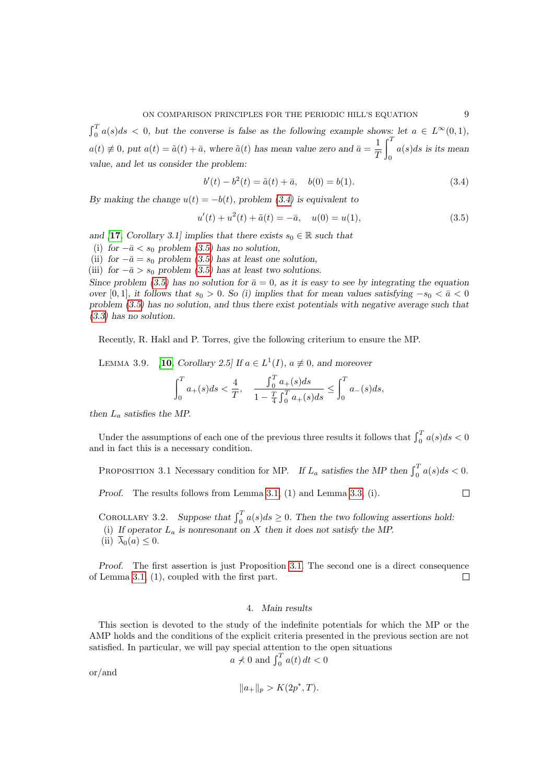$\int_0^T a(s)ds < 0$ , but the converse is false as the following example shows: let  $a \in L^{\infty}(0,1)$ ,  $a(t) \neq 0$ , put  $a(t) = \tilde{a}(t) + \bar{a}$ , where  $\tilde{a}(t)$  has mean value zero and  $\bar{a} = \frac{1}{\sigma}$  $\mathcal{I}$  $\int_0^T$ 0  $a(s)ds$  is its mean value, and let us consider the problem:

<span id="page-8-0"></span>
$$
b'(t) - b2(t) = \tilde{a}(t) + \bar{a}, \quad b(0) = b(1).
$$
 (3.4)

By making the change  $u(t) = -b(t)$ , problem [\(3.4\)](#page-8-0) is equivalent to

<span id="page-8-1"></span>
$$
u'(t) + u^{2}(t) + \tilde{a}(t) = -\bar{a}, \quad u(0) = u(1), \tag{3.5}
$$

and [[17](#page-17-6), Corollary 3.1] implies that there exists  $s_0 \in \mathbb{R}$  such that

(i) for  $-\bar{a} < s_0$  problem [\(3.5\)](#page-8-1) has no solution,

(ii) for  $-\bar{a} = s_0$  problem [\(3.5\)](#page-8-1) has at least one solution,

(iii) for  $-\bar{a} > s_0$  problem [\(3.5\)](#page-8-1) has at least two solutions.

Since problem [\(3.5\)](#page-8-1) has no solution for  $\bar{a}=0$ , as it is easy to see by integrating the equation over [0, 1], it follows that  $s_0 > 0$ . So (i) implies that for mean values satisfying  $-s_0 < \bar{a} < 0$ problem [\(3.5\)](#page-8-1) has no solution, and thus there exist potentials with negative average such that [\(3.3\)](#page-7-2) has no solution.

<span id="page-8-3"></span>Recently, R. Hakl and P. Torres, give the following criterium to ensure the MP.

LEMMA 3.9. [[10](#page-16-2), Corollary 2.5] If  $a \in L^1(I)$ ,  $a \not\equiv 0$ , and moreover

<span id="page-8-2"></span>
$$
\int_0^T a_+(s)ds < \frac{4}{T}, \quad \frac{\int_0^T a_+(s)ds}{1 - \frac{T}{4} \int_0^T a_+(s)ds} \le \int_0^T a_-(s)ds,
$$

then  $L_a$  satisfies the MP.

Under the assumptions of each one of the previous three results it follows that  $\int_0^T a(s)ds < 0$ and in fact this is a necessary condition.

PROPOSITION 3.1 Necessary condition for MP. If  $L_a$  satisfies the MP then  $\int_0^T a(s)ds < 0$ .

Proof. The results follows from Lemma [3.1,](#page-5-0) (1) and Lemma [3.3,](#page-6-1) (i).

COROLLARY 3.2. Suppose that  $\int_0^T a(s)ds \ge 0$ . Then the two following assertions hold: (i) If operator  $L_a$  is nonresonant on X then it does not satisfy the MP.

(ii)  $\overline{\lambda}_0(a) \leq 0$ .

Proof. The first assertion is just Proposition [3.1.](#page-8-2) The second one is a direct consequence of Lemma [3.1,](#page-5-0) (1), coupled with the first part.  $\Box$ 

#### 4. Main results

This section is devoted to the study of the indefinite potentials for which the MP or the AMP holds and the conditions of the explicit criteria presented in the previous section are not satisfied. In particular, we will pay special attention to the open situations

$$
a \nless 0
$$
 and  $\int_0^T a(t) dt < 0$ 

or/and

$$
||a_+||_p > K(2p^*, T).
$$

 $\Box$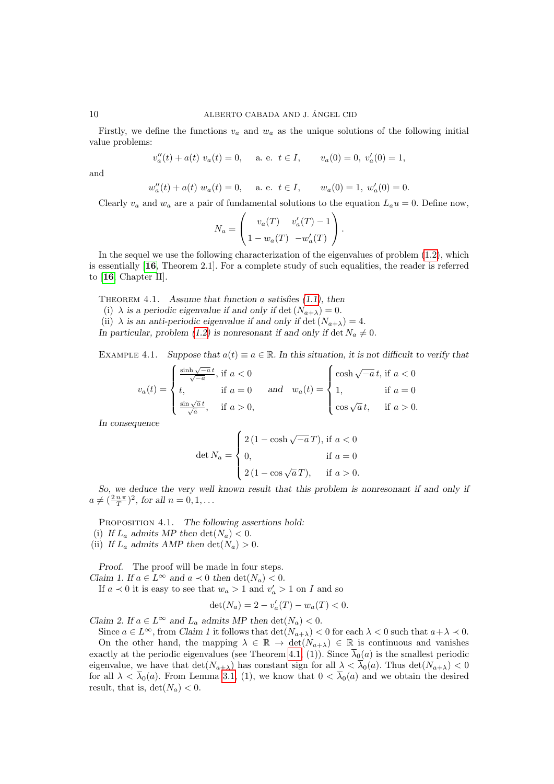## 10 ALBERTO CABADA AND J. ÁNGEL CID

Firstly, we define the functions  $v_a$  and  $w_a$  as the unique solutions of the following initial value problems:

$$
v''_a(t) + a(t) v_a(t) = 0
$$
, a. e.  $t \in I$ ,  $v_a(0) = 0$ ,  $v'_a(0) = 1$ ,

and

$$
w''_a(t) + a(t) w_a(t) = 0
$$
, a. e.  $t \in I$ ,  $w_a(0) = 1$ ,  $w'_a(0) = 0$ .

Clearly  $v_a$  and  $w_a$  are a pair of fundamental solutions to the equation  $L_a u = 0$ . Define now,

$$
N_a = \begin{pmatrix} v_a(T) & v'_a(T) - 1 \\ 1 - w_a(T) & -w'_a(T) \end{pmatrix}.
$$

In the sequel we use the following characterization of the eigenvalues of problem [\(1.2\)](#page-0-2), which is essentially [[16](#page-17-7), Theorem 2.1]. For a complete study of such equalities, the reader is referred to [[16](#page-17-7), Chapter II].

<span id="page-9-0"></span>THEOREM 4.1. Assume that function a satisfies  $(1.1)$ , then

(i)  $\lambda$  is a periodic eigenvalue if and only if det  $(N_{a+\lambda}) = 0$ .

(ii)  $\lambda$  is an anti-periodic eigenvalue if and only if det  $(N_{a+\lambda}) = 4$ .

In particular, problem [\(1.2\)](#page-0-2) is nonresonant if and only if det  $N_a \neq 0$ .

EXAMPLE 4.1. Suppose that  $a(t) \equiv a \in \mathbb{R}$ . In this situation, it is not difficult to verify that

$$
v_a(t) = \begin{cases} \frac{\sinh \sqrt{-a}t}{\sqrt{-a}}, \text{ if } a < 0\\ t, & \text{ if } a = 0\\ \frac{\sin \sqrt{a}t}{\sqrt{a}}, & \text{ if } a > 0, \end{cases} \quad \text{and} \quad w_a(t) = \begin{cases} \cosh \sqrt{-a}t, \text{ if } a < 0\\ 1, & \text{ if } a = 0\\ \cos \sqrt{a}t, & \text{ if } a > 0. \end{cases}
$$

In consequence

$$
\det N_a = \begin{cases} 2(1 - \cosh \sqrt{-a} T), & \text{if } a < 0 \\ 0, & \text{if } a = 0 \\ 2(1 - \cos \sqrt{a} T), & \text{if } a > 0. \end{cases}
$$

So, we deduce the very well known result that this problem is nonresonant if and only if  $a \neq (\frac{2 n \pi}{T})^2$ , for all  $n = 0, 1, \ldots$ 

<span id="page-9-1"></span>PROPOSITION 4.1. The following assertions hold:

(i) If  $L_a$  admits MP then  $\det(N_a) < 0$ .

(ii) If  $L_a$  admits AMP then  $\det(N_a) > 0$ .

Proof. The proof will be made in four steps. Claim 1. If  $a \in L^{\infty}$  and  $a \prec 0$  then  $\det(N_a) < 0$ .

If  $a \prec 0$  it is easy to see that  $w_a > 1$  and  $v'_a > 1$  on I and so

$$
\det(N_a) = 2 - v'_a(T) - w_a(T) < 0.
$$

Claim 2. If  $a \in L^{\infty}$  and  $L_a$  admits MP then  $\det(N_a) < 0$ .

Since  $a \in L^{\infty}$ , from Claim 1 it follows that  $\det(N_{a+\lambda}) < 0$  for each  $\lambda < 0$  such that  $a+\lambda < 0$ . On the other hand, the mapping  $\lambda \in \mathbb{R} \to \det(N_{a+\lambda}) \in \mathbb{R}$  is continuous and vanishes exactly at the periodic eigenvalues (see Theorem [4.1,](#page-9-0) (1)). Since  $\overline{\lambda}_0(a)$  is the smallest periodic eigenvalue, we have that  $\det(N_{a+\lambda})$  has constant sign for all  $\lambda < \overline{\lambda}_0(a)$ . Thus  $\det(N_{a+\lambda}) < 0$ for all  $\lambda < \overline{\lambda}_0(a)$ . From Lemma [3.1,](#page-5-0) (1), we know that  $0 < \overline{\lambda}_0(a)$  and we obtain the desired result, that is,  $\det(N_a) < 0$ .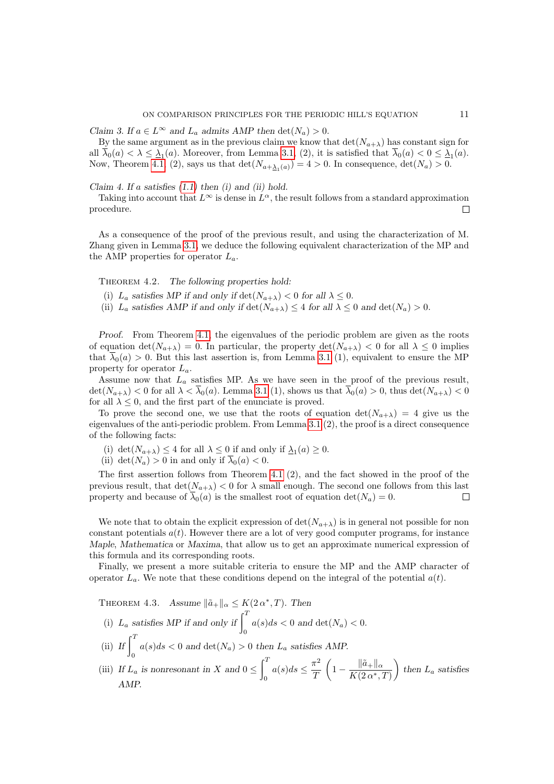Claim 3. If  $a \in L^{\infty}$  and  $L_a$  admits AMP then  $\det(N_a) > 0$ .

By the same argument as in the previous claim we know that  $\det(N_{a+\lambda})$  has constant sign for all  $\lambda_0(a) < \lambda \leq \lambda_1(a)$ . Moreover, from Lemma [3.1,](#page-5-0) (2), it is satisfied that  $\lambda_0(a) < 0 \leq \lambda_1(a)$ . Now, Theorem [4.1,](#page-9-0) (2), says us that  $\det(N_{a+\underline{\lambda}_1(a)}) = 4 > 0$ . In consequence,  $\det(N_a) > 0$ .

Claim 4. If a satisfies  $(1.1)$  then  $(i)$  and  $(ii)$  hold.

Taking into account that  $L^{\infty}$  is dense in  $L^{\alpha}$ , the result follows from a standard approximation procedure.  $\Box$ 

As a consequence of the proof of the previous result, and using the characterization of M. Zhang given in Lemma [3.1,](#page-5-0) we deduce the following equivalent characterization of the MP and the AMP properties for operator  $L_a$ .

THEOREM 4.2. The following properties hold:

(i)  $L_a$  satisfies MP if and only if  $\det(N_{a+\lambda}) < 0$  for all  $\lambda \leq 0$ .

(ii)  $L_a$  satisfies AMP if and only if  $\det(N_{a+\lambda}) \leq 4$  for all  $\lambda \leq 0$  and  $\det(N_a) > 0$ .

Proof. From Theorem [4.1,](#page-9-0) the eigenvalues of the periodic problem are given as the roots of equation  $\det(N_{a+\lambda}) = 0$ . In particular, the property  $\det(N_{a+\lambda}) < 0$  for all  $\lambda \leq 0$  implies that  $\overline{\lambda}_0(a) > 0$ . But this last assertion is, from Lemma [3.1](#page-5-0) (1), equivalent to ensure the MP property for operator  $L_a$ .

Assume now that  $L_a$  satisfies MP. As we have seen in the proof of the previous result,  $\det(N_{a+\lambda})$  < 0 for all  $\lambda < \overline{\lambda}_0(a)$ . Lemma [3.1](#page-5-0) (1), shows us that  $\overline{\lambda}_0(a) > 0$ , thus  $\det(N_{a+\lambda}) < 0$ for all  $\lambda \leq 0$ , and the first part of the enunciate is proved.

To prove the second one, we use that the roots of equation  $\det(N_{a+\lambda}) = 4$  give us the eigenvalues of the anti-periodic problem. From Lemma [3.1](#page-5-0) (2), the proof is a direct consequence of the following facts:

- (i)  $\det(N_{a+\lambda}) \leq 4$  for all  $\lambda \leq 0$  if and only if  $\lambda_1(a) \geq 0$ .
- (ii) det( $N_a$ ) > 0 in and only if  $\overline{\lambda}_0(a) < 0$ .

The first assertion follows from Theorem [4.1](#page-9-0) (2), and the fact showed in the proof of the previous result, that  $\det(N_{a+\lambda}) < 0$  for  $\lambda$  small enough. The second one follows from this last property and because of  $\overline{\lambda}_0(a)$  is the smallest root of equation  $\det(N_a) = 0$ .  $\Box$ 

We note that to obtain the explicit expression of  $\det(N_{a+\lambda})$  is in general not possible for non constant potentials  $a(t)$ . However there are a lot of very good computer programs, for instance Maple, Mathematica or Maxima, that allow us to get an approximate numerical expression of this formula and its corresponding roots.

Finally, we present a more suitable criteria to ensure the MP and the AMP character of operator  $L_a$ . We note that these conditions depend on the integral of the potential  $a(t)$ .

<span id="page-10-0"></span>THEOREM 4.3. Assume  $\|\tilde{a}_+\|_{\alpha} \leq K(2\alpha^*, T)$ . Then (i)  $L_a$  satisfies MP if and only if  $\int_0^T a(s)ds < 0$  and  $\det(N_a) < 0$ .

- (ii) If  $\int_0^T$  $a(s)ds < 0$  and  $\det(N_a) > 0$  then  $L_a$  satisfies AMP.
- (iii) If  $L_a$  is nonresonant in X and  $0 \leq$  $\int_0^T$ 0  $a(s)ds \leq \frac{\pi^2}{\sigma^2}$ T  $\left(1 - \frac{\|\tilde{a}_+\|_{\alpha}}{K(\alpha + 1)}\right)$  $K(2\alpha^*,T)$ ) then  $L_a$  satisfies AMP.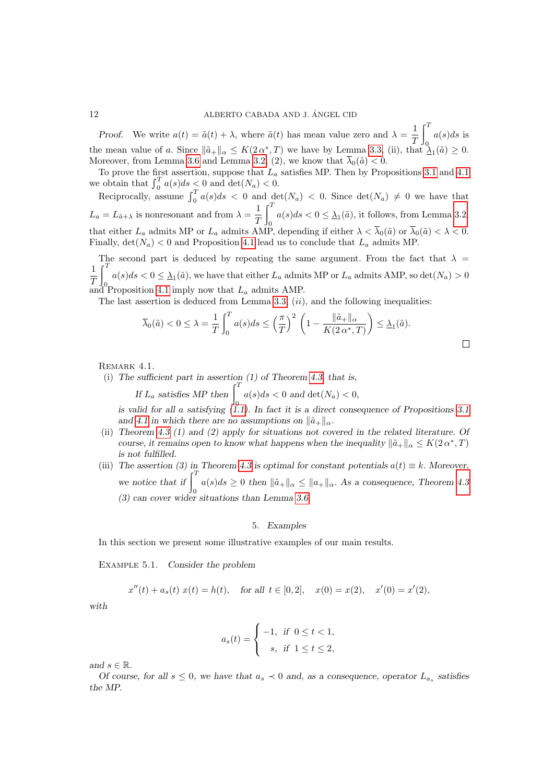Proof. We write  $a(t) = \tilde{a}(t) + \lambda$ , where  $\tilde{a}(t)$  has mean value zero and  $\lambda = \frac{1}{\sigma}$ T  $\int_0^T a(s)ds$  is the mean value of a. Since  $\|\tilde{a}_+\|_{\alpha} \leq K(2\alpha^*, T)$  we have by Lemma [3.3,](#page-6-1) (ii), that  $\Lambda_1(\tilde{a}) \geq 0$ . Moreover, from Lemma [3.6](#page-7-3) and Lemma [3.2,](#page-5-1) (2), we know that  $\bar{\lambda}_0(\tilde{a}) < 0$ .

To prove the first assertion, suppose that  $L_a$  satisfies MP. Then by Propositions [3.1](#page-8-2) and [4.1](#page-9-1) we obtain that  $\int_0^T a(s)ds < 0$  and  $\det(N_a) < 0$ .

Reciprocally, assume  $\int_0^T a(s)ds < 0$  and  $\det(N_a) < 0$ . Since  $\det(N_a) \neq 0$  we have that  $L_a = L_{\tilde{a}+\lambda}$  is nonresonant and from  $\lambda = \frac{1}{\sigma}$ T  $\int_0^T$  $a(s)ds < 0 \leq \underline{\lambda}_1(\tilde{a})$ , it follows, from Lemma [3.2,](#page-5-1) that either  $L_a$  admits MP or  $L_a$  admits AMP, depending if either  $\lambda < \overline{\lambda}_0(\tilde{a})$  or  $\overline{\lambda}_0(\tilde{a}) < \lambda < 0$ . Finally,  $\det(N_a)$  < 0 and Proposition [4.1](#page-9-1) lead us to conclude that  $L_a$  admits MP.

The second part is deduced by repeating the same argument. From the fact that  $\lambda =$ 1 T  $\int_0^T$  $a(s)ds < 0 \leq \underline{\lambda}_1(\tilde{a})$ , we have that either  $L_a$  admits MP or  $L_a$  admits AMP, so  $\det(N_a) > 0$ and Proposition [4.1](#page-9-1) imply now that  $L_a$  admits AMP.

The last assertion is deduced from Lemma [3.3,](#page-6-1)  $(ii)$ , and the following inequalities:

$$
\overline{\lambda}_0(\tilde{a}) < 0 \le \lambda = \frac{1}{T} \int_0^T a(s) \, ds \le \left(\frac{\pi}{T}\right)^2 \left(1 - \frac{\|\tilde{a}_+\|_{\alpha}}{K(2\,\alpha^*, T)}\right) \le \underline{\lambda}_1(\tilde{a}).
$$

## REMARK 4.1.

(i) The sufficient part in assertion (1) of Theorem [4.3,](#page-10-0) that is,

If  $L_a$  satisfies MP then  $\int_0^T a(s)ds < 0$  and  $\det(N_a) < 0$ ,

is valid for all a satisfying  $(1.1)$ . In fact it is a direct consequence of Propositions [3.1](#page-8-2) and [4.1](#page-9-1) in which there are no assumptions on  $\|\tilde{a}_+\|_{\alpha}$ .

- (ii) Theorem [4.3](#page-10-0) (1) and (2) apply for situations not covered in the related literature. Of course, it remains open to know what happens when the inequality  $\|\tilde{a}_+\|_{\alpha} \leq K(2\alpha^*, T)$ is not fulfilled.
- (iii) The assertion (3) in Theorem [4.3](#page-10-0) is optimal for constant potentials  $a(t) \equiv k$ . Moreover, we notice that if  $\int_0^T$  $a(s)ds \geq 0$  then  $\|\tilde{a}_+\|_{\alpha} \leq \|a_+\|_{\alpha}$ . As a consequence, Theorem [4.3](#page-10-0) (3) can cover wider situations than Lemma [3.6.](#page-7-3)

## 5. Examples

In this section we present some illustrative examples of our main results.

Example 5.1. Consider the problem

$$
x''(t) + a_s(t) x(t) = h(t)
$$
, for all  $t \in [0,2]$ ,  $x(0) = x(2)$ ,  $x'(0) = x'(2)$ ,

with

$$
a_s(t) = \begin{cases} -1, & \text{if } 0 \le t < 1, \\ s, & \text{if } 1 \le t \le 2, \end{cases}
$$

and  $s \in \mathbb{R}$ .

Of course, for all  $s \leq 0$ , we have that  $a_s \prec 0$  and, as a consequence, operator  $L_{a_s}$  satisfies the MP.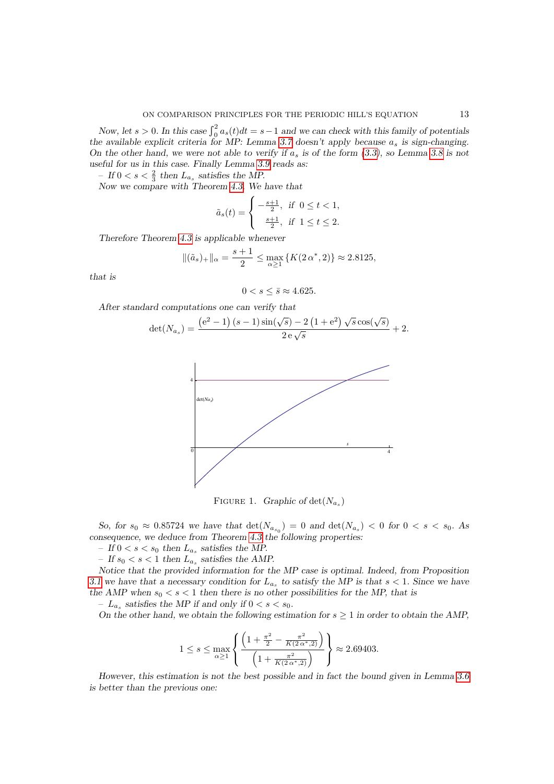Now, let  $s > 0$ . In this case  $\int_0^2 a_s(t)dt = s-1$  and we can check with this family of potentials the available explicit criteria for MP: Lemma [3.7](#page-7-4) doesn't apply because  $a_s$  is sign-changing. On the other hand, we were not able to verify if  $a_s$  is of the form [\(3.3\)](#page-7-2), so Lemma [3.8](#page-7-1) is not useful for us in this case. Finally Lemma [3.9](#page-8-3) reads as:

- If  $0 < s < \frac{2}{3}$  then  $L_{a_s}$  satisfies the MP.

Now we compare with Theorem [4.3.](#page-10-0) We have that

$$
\tilde{a}_s(t) = \begin{cases}\n-\frac{s+1}{2}, & \text{if } 0 \le t < 1, \\
\frac{s+1}{2}, & \text{if } 1 \le t \le 2.\n\end{cases}
$$

Therefore Theorem [4.3](#page-10-0) is applicable whenever

$$
\|(\tilde{a}_s)_+\|_{\alpha} = \frac{s+1}{2} \le \max_{\alpha \ge 1} \{K(2\alpha^*, 2)\} \approx 2.8125,
$$

that is

$$
0 < s \leq \bar{s} \approx 4.625.
$$

After standard computations one can verify that

$$
\det(N_{a_s}) = \frac{(e^2 - 1) (s - 1) \sin(\sqrt{s}) - 2 (1 + e^2) \sqrt{s} \cos(\sqrt{s})}{2 e \sqrt{s}} + 2.
$$



FIGURE 1. Graphic of  $\det(N_{a_s})$ 

So, for  $s_0 \approx 0.85724$  we have that  $\det(N_{a_{s_0}}) = 0$  and  $\det(N_{a_s}) < 0$  for  $0 < s < s_0$ . As consequence, we deduce from Theorem [4.3](#page-10-0) the following properties:

 $-$  If  $0 < s < s_0$  then  $L_{a_s}$  satisfies the MP.

 $-$  If  $s_0 < s < 1$  then  $L_{a_s}$  satisfies the AMP.

Notice that the provided information for the MP case is optimal. Indeed, from Proposition [3.1](#page-8-2) we have that a necessary condition for  $L_{a_s}$  to satisfy the MP is that  $s < 1$ . Since we have the AMP when  $s_0 < s < 1$  then there is no other possibilities for the MP, that is

-  $L_{a_s}$  satisfies the MP if and only if  $0 < s < s_0$ .

On the other hand, we obtain the following estimation for  $s \geq 1$  in order to obtain the AMP,

$$
1 \leq s \leq \max_{\alpha \geq 1} \left\{ \frac{\left(1 + \frac{\pi^2}{2} - \frac{\pi^2}{K(2\alpha^*, 2)}\right)}{\left(1 + \frac{\pi^2}{K(2\alpha^*, 2)}\right)} \right\} \approx 2.69403.
$$

However, this estimation is not the best possible and in fact the bound given in Lemma [3.6](#page-7-3) is better than the previous one: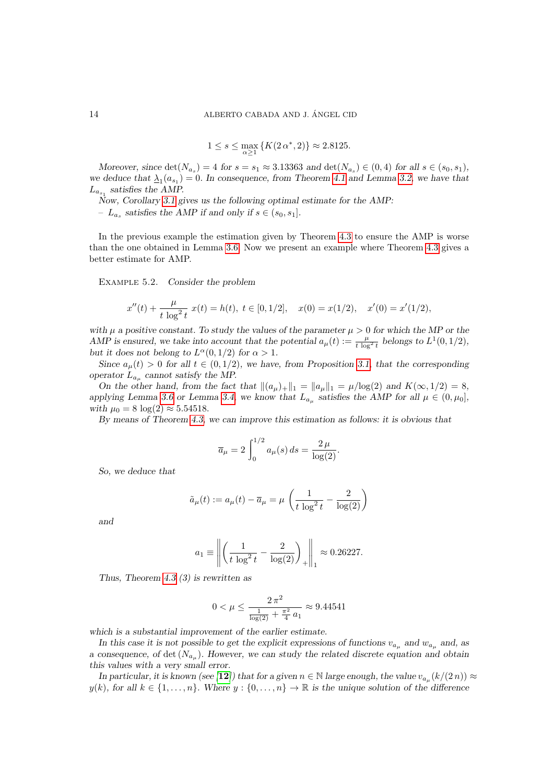$$
1 \le s \le \max_{\alpha \ge 1} \{ K(2\alpha^*, 2) \} \approx 2.8125.
$$

Moreover, since  $\det(N_{a_s}) = 4$  for  $s = s_1 \approx 3.13363$  and  $\det(N_{a_s}) \in (0, 4)$  for all  $s \in (s_0, s_1)$ , we deduce that  $\Delta_1(a_{s_1}) = 0$ . In consequence, from Theorem [4.1](#page-9-0) and Lemma [3.2,](#page-5-1) we have that  $L_{a_{s_1}}$  satisfies the AMP.

Now, Corollary [3.1](#page-6-2) gives us the following optimal estimate for the AMP:

-  $L_{a_s}$  satisfies the AMP if and only if  $s \in (s_0, s_1]$ .

In the previous example the estimation given by Theorem [4.3](#page-10-0) to ensure the AMP is worse than the one obtained in Lemma [3.6.](#page-7-3) Now we present an example where Theorem [4.3](#page-10-0) gives a better estimate for AMP.

EXAMPLE 5.2. Consider the problem

$$
x''(t) + \frac{\mu}{t \log^2 t} x(t) = h(t), \ t \in [0, 1/2], \quad x(0) = x(1/2), \quad x'(0) = x'(1/2),
$$

with  $\mu$  a positive constant. To study the values of the parameter  $\mu > 0$  for which the MP or the AMP is ensured, we take into account that the potential  $a_{\mu}(t) := \frac{\mu}{t \log^2 t}$  belongs to  $L^1(0, 1/2)$ , but it does not belong to  $L^{\alpha}(0,1/2)$  for  $\alpha > 1$ .

Since  $a_{\mu}(t) > 0$  for all  $t \in (0, 1/2)$ , we have, from Proposition [3.1,](#page-8-2) that the corresponding operator  $L_{a_{\mu}}$  cannot satisfy the MP.

On the other hand, from the fact that  $\|(a_\mu)_+\|_1 = \|a_\mu\|_1 = \mu/\log(2)$  and  $K(\infty, 1/2) = 8$ , applying Lemma [3.6](#page-7-3) or Lemma [3.4,](#page-7-5) we know that  $L_{a_{\mu}}$  satisfies the AMP for all  $\mu \in (0, \mu_0]$ , with  $\mu_0 = 8 \log(2) \approx 5.54518$ .

By means of Theorem [4.3,](#page-10-0) we can improve this estimation as follows: it is obvious that

$$
\overline{a}_{\mu} = 2 \int_0^{1/2} a_{\mu}(s) ds = \frac{2 \mu}{\log(2)}.
$$

So, we deduce that

$$
\tilde{a}_{\mu}(t) := a_{\mu}(t) - \overline{a}_{\mu} = \mu \left( \frac{1}{t \log^2 t} - \frac{2}{\log(2)} \right)
$$

and

$$
a_1 \equiv \left\| \left( \frac{1}{t \log^2 t} - \frac{2}{\log(2)} \right)_+ \right\|_1 \approx 0.26227.
$$

Thus, Theorem [4.3](#page-10-0) (3) is rewritten as

$$
0 < \mu \le \frac{2\,\pi^2}{\frac{1}{\log(2)} + \frac{\pi^2}{4}\,a_1} \approx 9.44541
$$

which is a substantial improvement of the earlier estimate.

In this case it is not possible to get the explicit expressions of functions  $v_{a_{\mu}}$  and  $w_{a_{\mu}}$  and, as a consequence, of det  $(N_{a_{\mu}})$ . However, we can study the related discrete equation and obtain this values with a very small error.

In particular, it is known (see [[12](#page-16-8)]) that for a given  $n \in \mathbb{N}$  large enough, the value  $v_{a_{\mu}}(k/(2 n)) \approx$  $y(k)$ , for all  $k \in \{1, \ldots, n\}$ . Where  $y : \{0, \ldots, n\} \to \mathbb{R}$  is the unique solution of the difference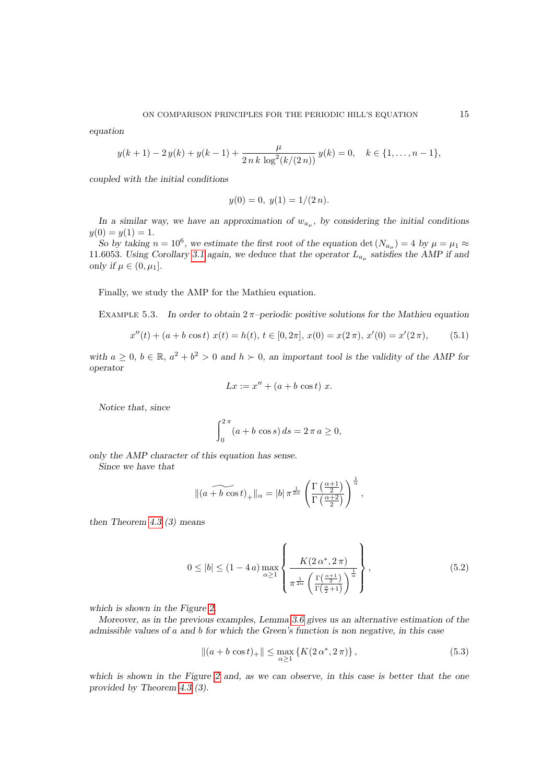equation

$$
y(k+1) - 2y(k) + y(k-1) + \frac{\mu}{2 n k \log^{2}(k/(2 n))} y(k) = 0, \quad k \in \{1, ..., n-1\},
$$

coupled with the initial conditions

<span id="page-14-3"></span>
$$
y(0) = 0, \ y(1) = 1/(2 n).
$$

In a similar way, we have an approximation of  $w_{a_{\mu}}$ , by considering the initial conditions  $y(0) = y(1) = 1.$ 

So by taking  $n = 10^6$ , we estimate the first root of the equation det  $(N_{a_{\mu}}) = 4$  by  $\mu = \mu_1 \approx$ 11.6053. Using Corollary [3.1](#page-6-2) again, we deduce that the operator  $L_{a_{\mu}}$  satisfies the AMP if and only if  $\mu \in (0, \mu_1]$ .

Finally, we study the AMP for the Mathieu equation.

EXAMPLE 5.3. In order to obtain  $2\pi$ -periodic positive solutions for the Mathieu equation

<span id="page-14-2"></span>
$$
x''(t) + (a+b \cos t) \ x(t) = h(t), \ t \in [0, 2\pi], \ x(0) = x(2\pi), \ x'(0) = x'(2\pi), \tag{5.1}
$$

with  $a \geq 0$ ,  $b \in \mathbb{R}$ ,  $a^2 + b^2 > 0$  and  $h \succ 0$ , an important tool is the validity of the AMP for operator

$$
Lx := x'' + (a+b\cos t) x.
$$

Notice that, since

$$
\int_0^{2\pi} (a + b \cos s) \, ds = 2\pi a \ge 0,
$$

only the AMP character of this equation has sense.

Since we have that

$$
\|(a+b\,\cos t)_+\|_\alpha=|b|\,\pi^{\frac{1}{2\alpha}}\left(\frac{\Gamma\left(\frac{\alpha+1}{2}\right)}{\Gamma\left(\frac{\alpha+2}{2}\right)}\right)^{\frac{1}{\alpha}},
$$

then Theorem [4.3](#page-10-0) (3) means

<span id="page-14-1"></span>
$$
0 \le |b| \le (1 - 4a) \max_{\alpha \ge 1} \left\{ \frac{K(2\alpha^*, 2\pi)}{\pi^{\frac{1}{2\alpha}} \left(\frac{\Gamma(\frac{\alpha+1}{2})}{\Gamma(\frac{\alpha}{2}+1)}\right)^{\frac{1}{\alpha}}} \right\},
$$
\n
$$
(5.2)
$$

which is shown in the Figure [2.](#page-15-0)

Moreover, as in the previous examples, Lemma [3.6](#page-7-3) gives us an alternative estimation of the admissible values of a and b for which the Green's function is non negative, in this case

<span id="page-14-0"></span>
$$
||(a+b\cos t)_+|| \le \max_{\alpha \ge 1} \{ K(2\alpha^*, 2\pi) \},
$$
\n(5.3)

which is shown in the Figure [2](#page-15-0) and, as we can observe, in this case is better that the one provided by Theorem [4.3](#page-10-0) (3).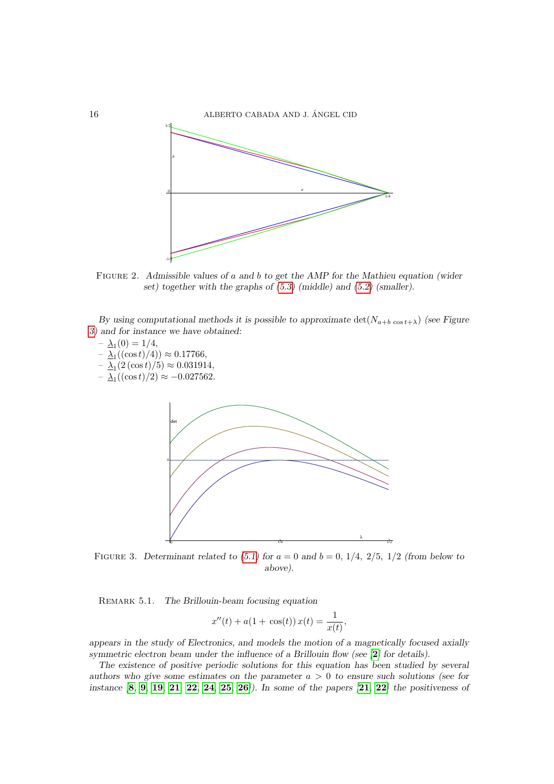

<span id="page-15-0"></span>FIGURE 2. Admissible values of a and b to get the AMP for the Mathieu equation (wider set) together with the graphs of [\(5.3\)](#page-14-0) (middle) and [\(5.2\)](#page-14-1) (smaller).

By using computational methods it is possible to approximate  $\det(N_{a+b} \cos t_{+\lambda})$  (see Figure [3\)](#page-15-1) and for instance we have obtained:

$$
- \underline{\lambda}_1(0) = 1/4,
$$

- $\Delta_1((\cos t)/4)) \approx 0.17766,$
- $\Delta_1(2(\cos t)/5) \approx 0.031914,$
- $\Delta_1((\cos t)/2) \approx -0.027562.$



<span id="page-15-1"></span>FIGURE 3. Determinant related to [\(5.1\)](#page-14-2) for  $a = 0$  and  $b = 0$ , 1/4, 2/5, 1/2 (from below to above).

REMARK 5.1. The Brillouin-beam focusing equation

$$
x''(t) + a(1 + \cos(t)) x(t) = \frac{1}{x(t)},
$$

appears in the study of Electronics, and models the motion of a magnetically focused axially symmetric electron beam under the influence of a Brillouin flow (see  $[2]$  $[2]$  $[2]$  for details).

The existence of positive periodic solutions for this equation has been studied by several authors who give some estimates on the parameter  $a > 0$  to ensure such solutions (see for instance  $[8, 9, 19, 21, 22, 24, 25, 26]$  $[8, 9, 19, 21, 22, 24, 25, 26]$  $[8, 9, 19, 21, 22, 24, 25, 26]$  $[8, 9, 19, 21, 22, 24, 25, 26]$  $[8, 9, 19, 21, 22, 24, 25, 26]$  $[8, 9, 19, 21, 22, 24, 25, 26]$  $[8, 9, 19, 21, 22, 24, 25, 26]$  $[8, 9, 19, 21, 22, 24, 25, 26]$  $[8, 9, 19, 21, 22, 24, 25, 26]$  $[8, 9, 19, 21, 22, 24, 25, 26]$  $[8, 9, 19, 21, 22, 24, 25, 26]$  $[8, 9, 19, 21, 22, 24, 25, 26]$  $[8, 9, 19, 21, 22, 24, 25, 26]$  $[8, 9, 19, 21, 22, 24, 25, 26]$  $[8, 9, 19, 21, 22, 24, 25, 26]$  $[8, 9, 19, 21, 22, 24, 25, 26]$  $[8, 9, 19, 21, 22, 24, 25, 26]$ . In some of the papers  $[21, 22]$  the positiveness of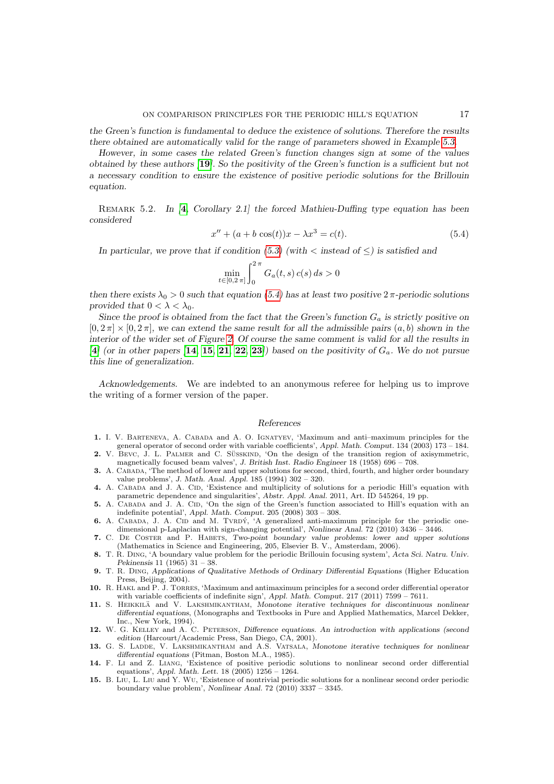the Green's function is fundamental to deduce the existence of solutions. Therefore the results there obtained are automatically valid for the range of parameters showed in Example [5.3.](#page-14-3)

However, in some cases the related Green's function changes sign at some of the values obtained by these authors [[19](#page-17-8)]. So the positivity of the Green's function is a sufficient but not a necessary condition to ensure the existence of positive periodic solutions for the Brillouin equation.

REMARK 5.2. In  $[4,$  $[4,$  $[4,$  Corollary 2.1] the forced Mathieu-Duffing type equation has been considered

<span id="page-16-13"></span>
$$
x'' + (a + b \cos(t))x - \lambda x^3 = c(t).
$$
\n(5.4)

In particular, we prove that if condition [\(5.3\)](#page-14-0) (with  $\lt$  instead of  $\lt$ ) is satisfied and

$$
\min_{t\in[0,2\,\pi]}\int_0^{2\,\pi}G_a(t,s)\,c(s)\,ds>0
$$

then there exists  $\lambda_0 > 0$  such that equation [\(5.4\)](#page-16-13) has at least two positive  $2\pi$ -periodic solutions provided that  $0 < \lambda < \lambda_0$ .

Since the proof is obtained from the fact that the Green's function  $G_a$  is strictly positive on  $[0, 2\pi] \times [0, 2\pi]$ , we can extend the same result for all the admissible pairs  $(a, b)$  shown in the interior of the wider set of Figure [2.](#page-15-0) Of course the same comment is valid for all the results in [[4](#page-16-12)] (or in other papers [[14](#page-16-14), [15](#page-16-15), [21](#page-17-9), [22](#page-17-1), [23](#page-17-13)]) based on the positivity of  $G_a$ . We do not pursue this line of generalization.

Acknowledgements. We are indebted to an anonymous referee for helping us to improve the writing of a former version of the paper.

#### References

- <span id="page-16-0"></span>1. I. V. Barteneva, A. Cabada and A. O. Ignatyev, 'Maximum and anti–maximum principles for the general operator of second order with variable coefficients', Appl. Math. Comput. 134 (2003) 173 – 184.
- <span id="page-16-9"></span>2. V. BEVC, J. L. PALMER and C. SÜSSKIND, 'On the design of the transition region of axisymmetric, magnetically focused beam valves', J. British Inst. Radio Engineer 18 (1958) 696 – 708.
- <span id="page-16-5"></span>3. A. Cabada, 'The method of lower and upper solutions for second, third, fourth, and higher order boundary value problems', J. Math. Anal. Appl. 185 (1994) 302 – 320.
- <span id="page-16-12"></span>4. A. CABADA and J. A. CID, 'Existence and multiplicity of solutions for a periodic Hill's equation with parametric dependence and singularities', Abstr. Appl. Anal. 2011, Art. ID 545264, 19 pp.
- <span id="page-16-1"></span>5. A. CABADA and J. A. CID, 'On the sign of the Green's function associated to Hill's equation with an indefinite potential', Appl. Math. Comput. 205 (2008) 303 – 308.
- <span id="page-16-7"></span>6. A. CABADA, J. A. CID and M. TVRDÝ, 'A generalized anti-maximum principle for the periodic onedimensional p-Laplacian with sign-changing potential', Nonlinear Anal. 72 (2010) 3436 – 3446.
- <span id="page-16-6"></span>7. C. De Coster and P. Habets, Two-point boundary value problems: lower and upper solutions (Mathematics in Science and Engineering, 205, Elsevier B. V., Amsterdam, 2006).
- <span id="page-16-10"></span>8. T. R. Ding, 'A boundary value problem for the periodic Brillouin focusing system', Acta Sci. Natru. Univ. Pekinensis 11 (1965) 31 – 38.
- <span id="page-16-11"></span>9. T. R. Ding, Applications of Qualitative Methods of Ordinary Differential Equations (Higher Education Press, Beijing, 2004).
- <span id="page-16-2"></span>10. R. Hakl and P. J. Torres, 'Maximum and antimaximum principles for a second order differential operator with variable coefficients of indefinite sign', Appl. Math. Comput. 217 (2011) 7599 – 7611.
- <span id="page-16-3"></span>11. S. HEIKKILÄ and V. LAKSHMIKANTHAM, Monotone iterative techniques for discontinuous nonlinear differential equations, (Monographs and Textbooks in Pure and Applied Mathematics, Marcel Dekker, Inc., New York, 1994).
- <span id="page-16-8"></span>12. W. G. Kelley and A. C. Peterson, Difference equations. An introduction with applications (second edition (Harcourt/Academic Press, San Diego, CA, 2001).
- <span id="page-16-4"></span>13. G. S. LADDE, V. LAKSHMIKANTHAM and A.S. VATSALA, Monotone iterative techniques for nonlinear differential equations (Pitman, Boston M.A., 1985).
- <span id="page-16-14"></span>14. F. Li and Z. Liang, 'Existence of positive periodic solutions to nonlinear second order differential equations', Appl. Math. Lett. 18 (2005) 1256 – 1264.
- <span id="page-16-15"></span>15. B. Liu, L. Liu and Y. Wu, 'Existence of nontrivial periodic solutions for a nonlinear second order periodic boundary value problem', Nonlinear Anal. 72 (2010) 3337 – 3345.